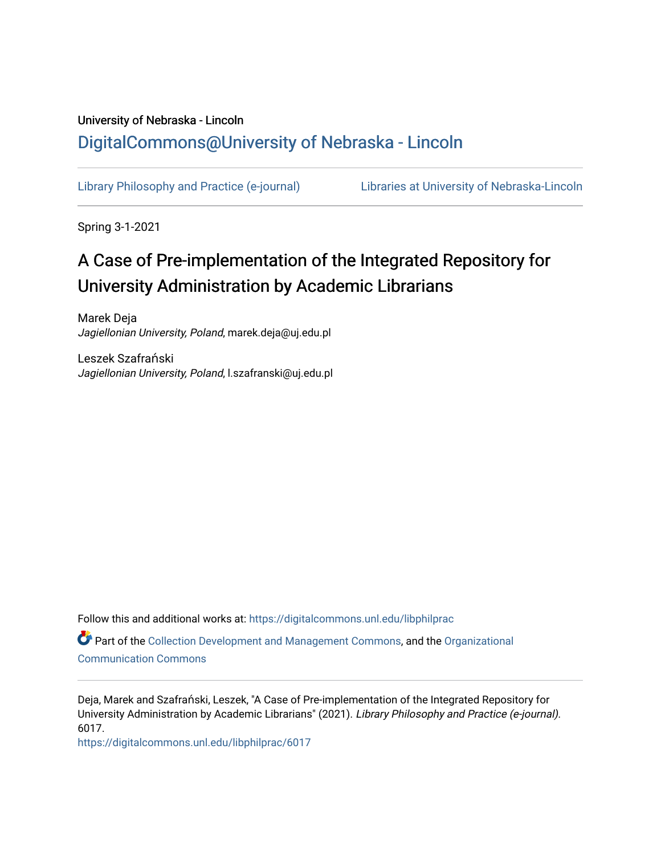## University of Nebraska - Lincoln [DigitalCommons@University of Nebraska - Lincoln](https://digitalcommons.unl.edu/)

[Library Philosophy and Practice \(e-journal\)](https://digitalcommons.unl.edu/libphilprac) [Libraries at University of Nebraska-Lincoln](https://digitalcommons.unl.edu/libraries) 

Spring 3-1-2021

# A Case of Pre-implementation of the Integrated Repository for University Administration by Academic Librarians

Marek Deja Jagiellonian University, Poland, marek.deja@uj.edu.pl

Leszek Szafrański Jagiellonian University, Poland, l.szafranski@uj.edu.pl

Follow this and additional works at: [https://digitalcommons.unl.edu/libphilprac](https://digitalcommons.unl.edu/libphilprac?utm_source=digitalcommons.unl.edu%2Flibphilprac%2F6017&utm_medium=PDF&utm_campaign=PDFCoverPages) 

Part of the [Collection Development and Management Commons,](http://network.bepress.com/hgg/discipline/1271?utm_source=digitalcommons.unl.edu%2Flibphilprac%2F6017&utm_medium=PDF&utm_campaign=PDFCoverPages) and the [Organizational](http://network.bepress.com/hgg/discipline/335?utm_source=digitalcommons.unl.edu%2Flibphilprac%2F6017&utm_medium=PDF&utm_campaign=PDFCoverPages) [Communication Commons](http://network.bepress.com/hgg/discipline/335?utm_source=digitalcommons.unl.edu%2Flibphilprac%2F6017&utm_medium=PDF&utm_campaign=PDFCoverPages)

Deja, Marek and Szafrański, Leszek, "A Case of Pre-implementation of the Integrated Repository for University Administration by Academic Librarians" (2021). Library Philosophy and Practice (e-journal). 6017.

[https://digitalcommons.unl.edu/libphilprac/6017](https://digitalcommons.unl.edu/libphilprac/6017?utm_source=digitalcommons.unl.edu%2Flibphilprac%2F6017&utm_medium=PDF&utm_campaign=PDFCoverPages)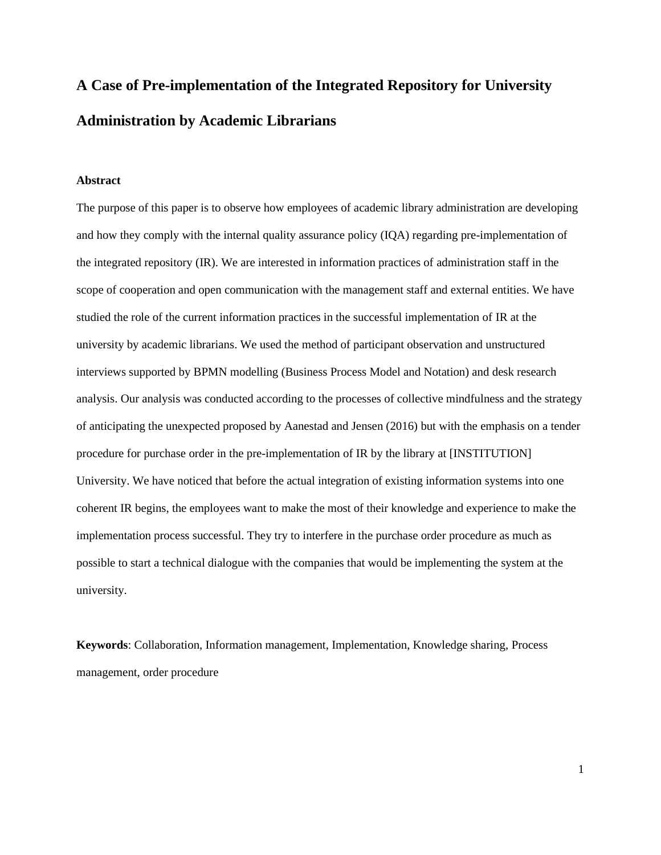# **A Case of Pre-implementation of the Integrated Repository for University Administration by Academic Librarians**

### **Abstract**

The purpose of this paper is to observe how employees of academic library administration are developing and how they comply with the internal quality assurance policy (IQA) regarding pre-implementation of the integrated repository (IR). We are interested in information practices of administration staff in the scope of cooperation and open communication with the management staff and external entities. We have studied the role of the current information practices in the successful implementation of IR at the university by academic librarians. We used the method of participant observation and unstructured interviews supported by BPMN modelling (Business Process Model and Notation) and desk research analysis. Our analysis was conducted according to the processes of collective mindfulness and the strategy of anticipating the unexpected proposed by Aanestad and Jensen (2016) but with the emphasis on a tender procedure for purchase order in the pre-implementation of IR by the library at [INSTITUTION] University. We have noticed that before the actual integration of existing information systems into one coherent IR begins, the employees want to make the most of their knowledge and experience to make the implementation process successful. They try to interfere in the purchase order procedure as much as possible to start a technical dialogue with the companies that would be implementing the system at the university.

**Keywords**: Collaboration, Information management, Implementation, Knowledge sharing, Process management, order procedure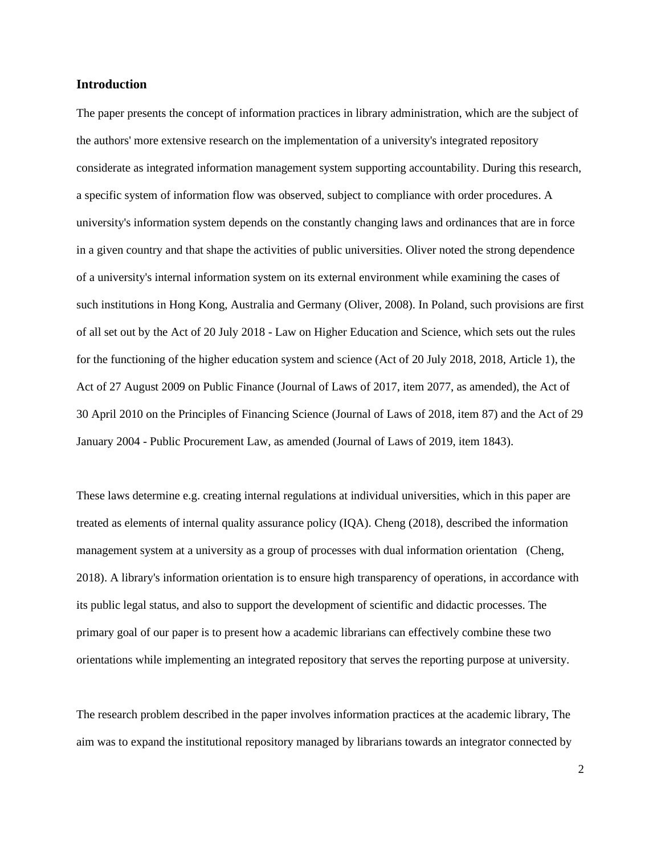#### **Introduction**

The paper presents the concept of information practices in library administration, which are the subject of the authors' more extensive research on the implementation of a university's integrated repository considerate as integrated information management system supporting accountability. During this research, a specific system of information flow was observed, subject to compliance with order procedures. A university's information system depends on the constantly changing laws and ordinances that are in force in a given country and that shape the activities of public universities. Oliver noted the strong dependence of a university's internal information system on its external environment while examining the cases of such institutions in Hong Kong, Australia and Germany (Oliver, 2008). In Poland, such provisions are first of all set out by the Act of 20 July 2018 - Law on Higher Education and Science, which sets out the rules for the functioning of the higher education system and science (Act of 20 July 2018, 2018, Article 1), the Act of 27 August 2009 on Public Finance (Journal of Laws of 2017, item 2077, as amended), the Act of 30 April 2010 on the Principles of Financing Science (Journal of Laws of 2018, item 87) and the Act of 29 January 2004 - Public Procurement Law, as amended (Journal of Laws of 2019, item 1843).

These laws determine e.g. creating internal regulations at individual universities, which in this paper are treated as elements of internal quality assurance policy (IQA). Cheng (2018), described the information management system at a university as a group of processes with dual information orientation (Cheng, 2018). A library's information orientation is to ensure high transparency of operations, in accordance with its public legal status, and also to support the development of scientific and didactic processes. The primary goal of our paper is to present how a academic librarians can effectively combine these two orientations while implementing an integrated repository that serves the reporting purpose at university.

The research problem described in the paper involves information practices at the academic library, The aim was to expand the institutional repository managed by librarians towards an integrator connected by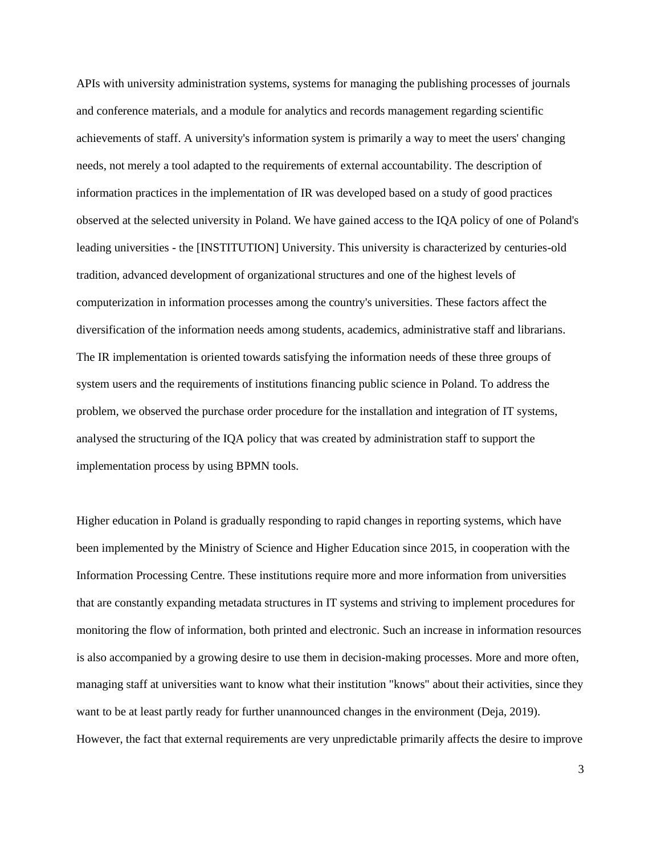APIs with university administration systems, systems for managing the publishing processes of journals and conference materials, and a module for analytics and records management regarding scientific achievements of staff. A university's information system is primarily a way to meet the users' changing needs, not merely a tool adapted to the requirements of external accountability. The description of information practices in the implementation of IR was developed based on a study of good practices observed at the selected university in Poland. We have gained access to the IQA policy of one of Poland's leading universities - the [INSTITUTION] University. This university is characterized by centuries-old tradition, advanced development of organizational structures and one of the highest levels of computerization in information processes among the country's universities. These factors affect the diversification of the information needs among students, academics, administrative staff and librarians. The IR implementation is oriented towards satisfying the information needs of these three groups of system users and the requirements of institutions financing public science in Poland. To address the problem, we observed the purchase order procedure for the installation and integration of IT systems, analysed the structuring of the IQA policy that was created by administration staff to support the implementation process by using BPMN tools.

Higher education in Poland is gradually responding to rapid changes in reporting systems, which have been implemented by the Ministry of Science and Higher Education since 2015, in cooperation with the Information Processing Centre. These institutions require more and more information from universities that are constantly expanding metadata structures in IT systems and striving to implement procedures for monitoring the flow of information, both printed and electronic. Such an increase in information resources is also accompanied by a growing desire to use them in decision-making processes. More and more often, managing staff at universities want to know what their institution "knows" about their activities, since they want to be at least partly ready for further unannounced changes in the environment (Deja, 2019). However, the fact that external requirements are very unpredictable primarily affects the desire to improve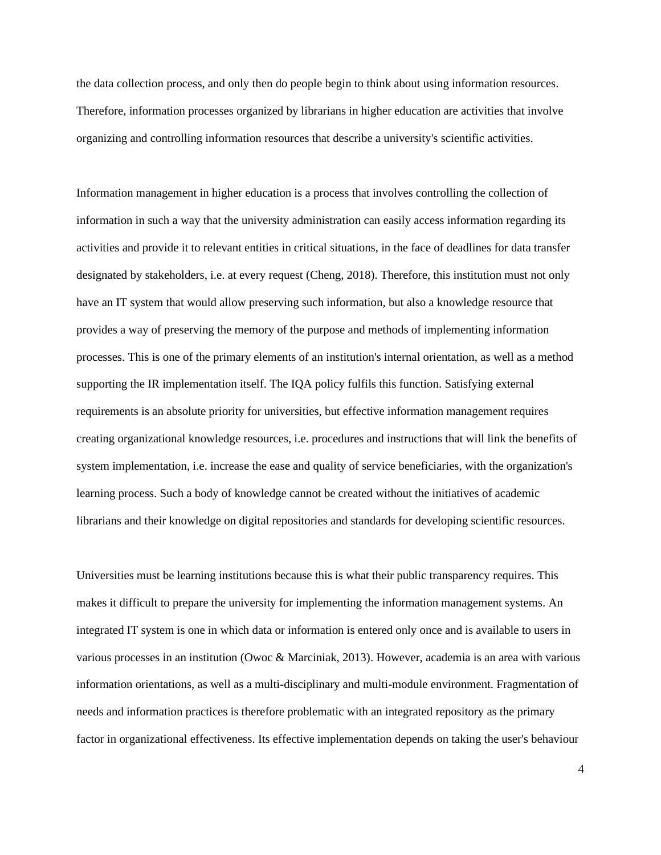the data collection process, and only then do people begin to think about using information resources. Therefore, information processes organized by librarians in higher education are activities that involve organizing and controlling information resources that describe a university's scientific activities.

Information management in higher education is a process that involves controlling the collection of information in such a way that the university administration can easily access information regarding its activities and provide it to relevant entities in critical situations, in the face of deadlines for data transfer designated by stakeholders, i.e. at every request (Cheng, 2018). Therefore, this institution must not only have an IT system that would allow preserving such information, but also a knowledge resource that provides a way of preserving the memory of the purpose and methods of implementing information processes. This is one of the primary elements of an institution's internal orientation, as well as a method supporting the IR implementation itself. The IQA policy fulfils this function. Satisfying external requirements is an absolute priority for universities, but effective information management requires creating organizational knowledge resources, i.e. procedures and instructions that will link the benefits of system implementation, i.e. increase the ease and quality of service beneficiaries, with the organization's learning process. Such a body of knowledge cannot be created without the initiatives of academic librarians and their knowledge on digital repositories and standards for developing scientific resources.

Universities must be learning institutions because this is what their public transparency requires. This makes it difficult to prepare the university for implementing the information management systems. An integrated IT system is one in which data or information is entered only once and is available to users in various processes in an institution (Owoc & Marciniak, 2013). However, academia is an area with various information orientations, as well as a multi-disciplinary and multi-module environment. Fragmentation of needs and information practices is therefore problematic with an integrated repository as the primary factor in organizational effectiveness. Its effective implementation depends on taking the user's behaviour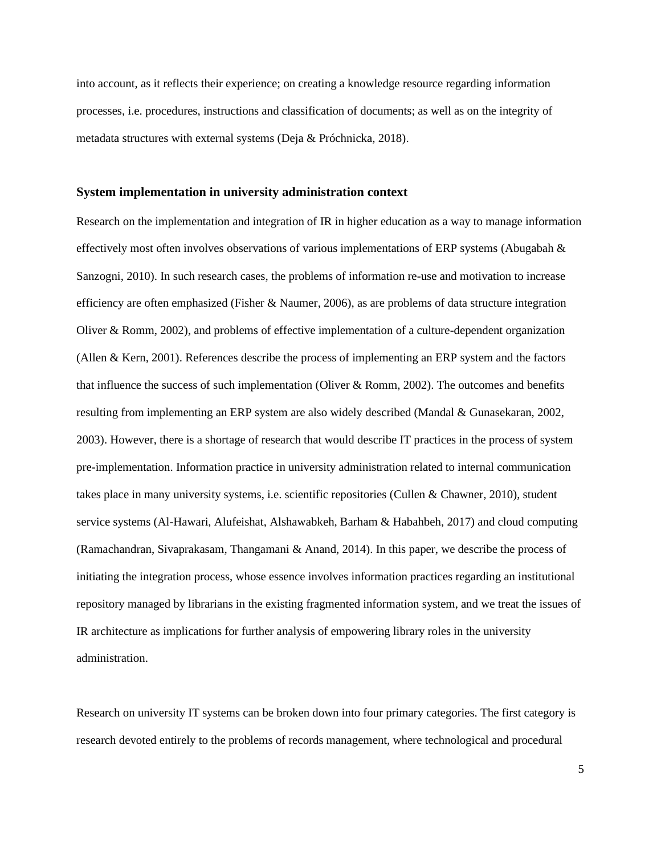into account, as it reflects their experience; on creating a knowledge resource regarding information processes, i.e. procedures, instructions and classification of documents; as well as on the integrity of metadata structures with external systems (Deja & Próchnicka, 2018).

#### **System implementation in university administration context**

Research on the implementation and integration of IR in higher education as a way to manage information effectively most often involves observations of various implementations of ERP systems (Abugabah & Sanzogni, 2010). In such research cases, the problems of information re-use and motivation to increase efficiency are often emphasized (Fisher & Naumer, 2006), as are problems of data structure integration Oliver & Romm, 2002), and problems of effective implementation of a culture-dependent organization (Allen & Kern, 2001). References describe the process of implementing an ERP system and the factors that influence the success of such implementation (Oliver & Romm, 2002). The outcomes and benefits resulting from implementing an ERP system are also widely described (Mandal & Gunasekaran, 2002, 2003). However, there is a shortage of research that would describe IT practices in the process of system pre-implementation. Information practice in university administration related to internal communication takes place in many university systems, i.e. scientific repositories (Cullen & Chawner, 2010), student service systems (Al-Hawari, Alufeishat, Alshawabkeh, Barham & Habahbeh, 2017) and cloud computing (Ramachandran, Sivaprakasam, Thangamani & Anand, 2014). In this paper, we describe the process of initiating the integration process, whose essence involves information practices regarding an institutional repository managed by librarians in the existing fragmented information system, and we treat the issues of IR architecture as implications for further analysis of empowering library roles in the university administration.

Research on university IT systems can be broken down into four primary categories. The first category is research devoted entirely to the problems of records management, where technological and procedural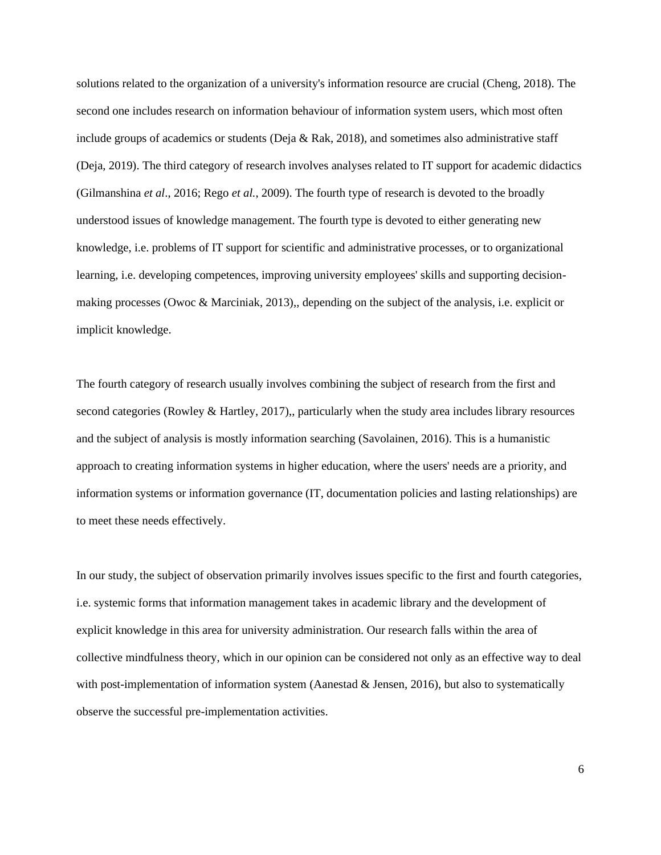solutions related to the organization of a university's information resource are crucial (Cheng, 2018). The second one includes research on information behaviour of information system users, which most often include groups of academics or students (Deja  $\&$  Rak, 2018), and sometimes also administrative staff (Deja, 2019). The third category of research involves analyses related to IT support for academic didactics (Gilmanshina *et al*., 2016; Rego *et al.*, 2009). The fourth type of research is devoted to the broadly understood issues of knowledge management. The fourth type is devoted to either generating new knowledge, i.e. problems of IT support for scientific and administrative processes, or to organizational learning, i.e. developing competences, improving university employees' skills and supporting decisionmaking processes (Owoc & Marciniak, 2013),, depending on the subject of the analysis, i.e. explicit or implicit knowledge.

The fourth category of research usually involves combining the subject of research from the first and second categories (Rowley & Hartley, 2017),, particularly when the study area includes library resources and the subject of analysis is mostly information searching (Savolainen, 2016). This is a humanistic approach to creating information systems in higher education, where the users' needs are a priority, and information systems or information governance (IT, documentation policies and lasting relationships) are to meet these needs effectively.

In our study, the subject of observation primarily involves issues specific to the first and fourth categories, i.e. systemic forms that information management takes in academic library and the development of explicit knowledge in this area for university administration. Our research falls within the area of collective mindfulness theory, which in our opinion can be considered not only as an effective way to deal with post-implementation of information system (Aanestad & Jensen, 2016), but also to systematically observe the successful pre-implementation activities.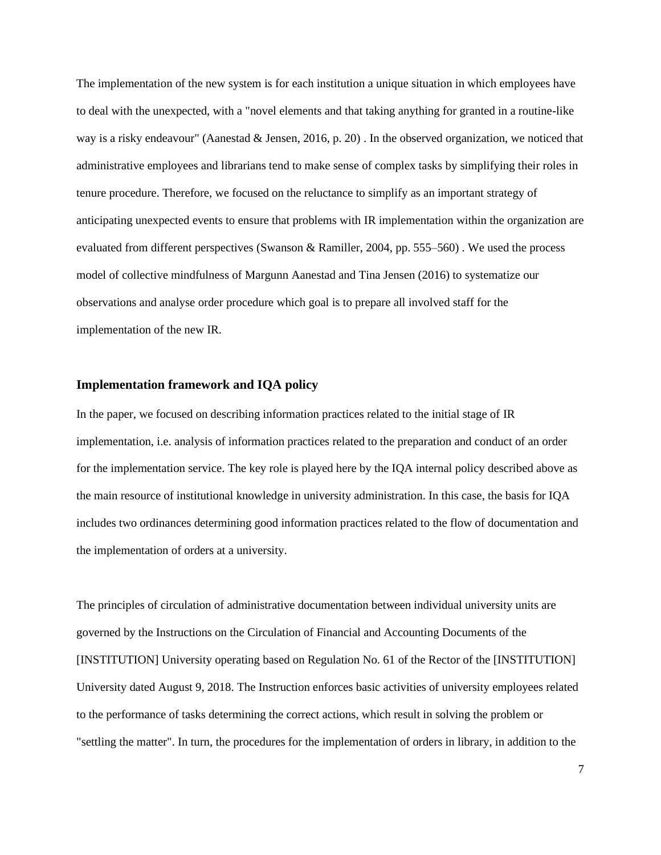The implementation of the new system is for each institution a unique situation in which employees have to deal with the unexpected, with a "novel elements and that taking anything for granted in a routine-like way is a risky endeavour" (Aanestad & Jensen, 2016, p. 20). In the observed organization, we noticed that administrative employees and librarians tend to make sense of complex tasks by simplifying their roles in tenure procedure. Therefore, we focused on the reluctance to simplify as an important strategy of anticipating unexpected events to ensure that problems with IR implementation within the organization are evaluated from different perspectives (Swanson & Ramiller, 2004, pp. 555–560) . We used the process model of collective mindfulness of Margunn Aanestad and Tina Jensen (2016) to systematize our observations and analyse order procedure which goal is to prepare all involved staff for the implementation of the new IR.

#### **Implementation framework and IQA policy**

In the paper, we focused on describing information practices related to the initial stage of IR implementation, i.e. analysis of information practices related to the preparation and conduct of an order for the implementation service. The key role is played here by the IQA internal policy described above as the main resource of institutional knowledge in university administration. In this case, the basis for IQA includes two ordinances determining good information practices related to the flow of documentation and the implementation of orders at a university.

The principles of circulation of administrative documentation between individual university units are governed by the Instructions on the Circulation of Financial and Accounting Documents of the [INSTITUTION] University operating based on Regulation No. 61 of the Rector of the [INSTITUTION] University dated August 9, 2018. The Instruction enforces basic activities of university employees related to the performance of tasks determining the correct actions, which result in solving the problem or "settling the matter". In turn, the procedures for the implementation of orders in library, in addition to the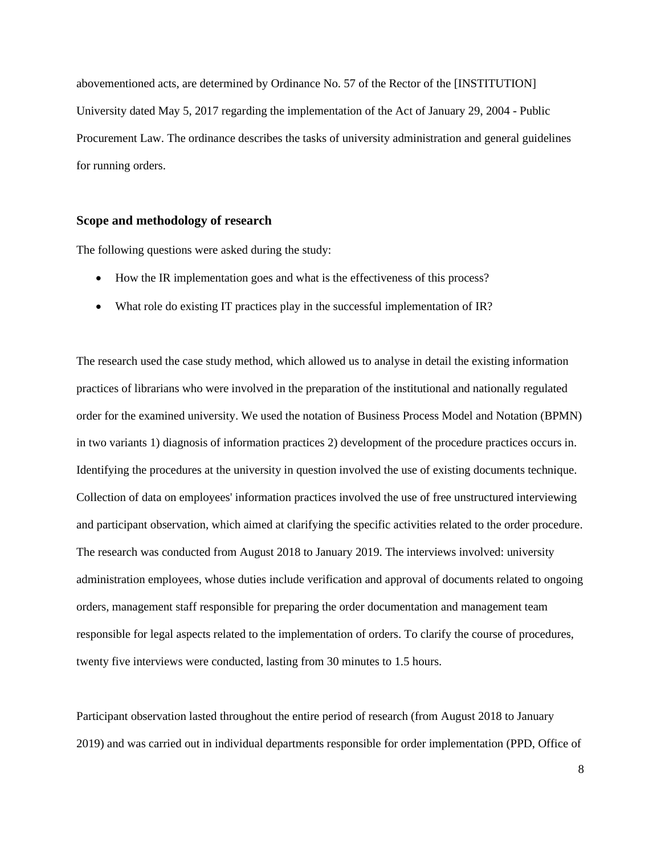abovementioned acts, are determined by Ordinance No. 57 of the Rector of the [INSTITUTION] University dated May 5, 2017 regarding the implementation of the Act of January 29, 2004 - Public Procurement Law. The ordinance describes the tasks of university administration and general guidelines for running orders.

#### **Scope and methodology of research**

The following questions were asked during the study:

- How the IR implementation goes and what is the effectiveness of this process?
- What role do existing IT practices play in the successful implementation of IR?

The research used the case study method, which allowed us to analyse in detail the existing information practices of librarians who were involved in the preparation of the institutional and nationally regulated order for the examined university. We used the notation of Business Process Model and Notation (BPMN) in two variants 1) diagnosis of information practices 2) development of the procedure practices occurs in. Identifying the procedures at the university in question involved the use of existing documents technique. Collection of data on employees' information practices involved the use of free unstructured interviewing and participant observation, which aimed at clarifying the specific activities related to the order procedure. The research was conducted from August 2018 to January 2019. The interviews involved: university administration employees, whose duties include verification and approval of documents related to ongoing orders, management staff responsible for preparing the order documentation and management team responsible for legal aspects related to the implementation of orders. To clarify the course of procedures, twenty five interviews were conducted, lasting from 30 minutes to 1.5 hours.

Participant observation lasted throughout the entire period of research (from August 2018 to January 2019) and was carried out in individual departments responsible for order implementation (PPD, Office of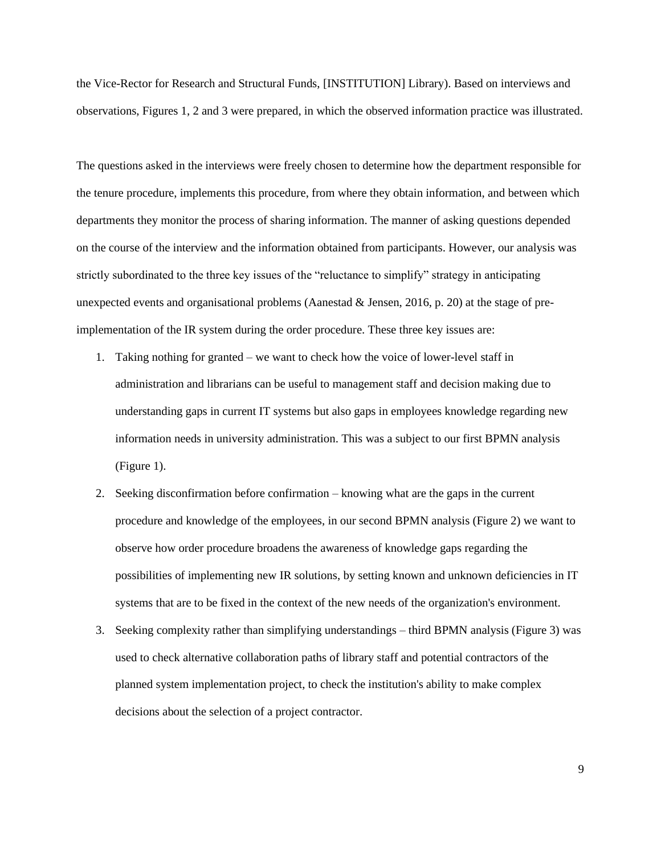the Vice-Rector for Research and Structural Funds, [INSTITUTION] Library). Based on interviews and observations, Figures 1, 2 and 3 were prepared, in which the observed information practice was illustrated.

The questions asked in the interviews were freely chosen to determine how the department responsible for the tenure procedure, implements this procedure, from where they obtain information, and between which departments they monitor the process of sharing information. The manner of asking questions depended on the course of the interview and the information obtained from participants. However, our analysis was strictly subordinated to the three key issues of the "reluctance to simplify" strategy in anticipating unexpected events and organisational problems (Aanestad & Jensen, 2016, p. 20) at the stage of preimplementation of the IR system during the order procedure. These three key issues are:

- 1. Taking nothing for granted we want to check how the voice of lower-level staff in administration and librarians can be useful to management staff and decision making due to understanding gaps in current IT systems but also gaps in employees knowledge regarding new information needs in university administration. This was a subject to our first BPMN analysis (Figure 1).
- 2. Seeking disconfirmation before confirmation knowing what are the gaps in the current procedure and knowledge of the employees, in our second BPMN analysis (Figure 2) we want to observe how order procedure broadens the awareness of knowledge gaps regarding the possibilities of implementing new IR solutions, by setting known and unknown deficiencies in IT systems that are to be fixed in the context of the new needs of the organization's environment.
- 3. Seeking complexity rather than simplifying understandings third BPMN analysis (Figure 3) was used to check alternative collaboration paths of library staff and potential contractors of the planned system implementation project, to check the institution's ability to make complex decisions about the selection of a project contractor.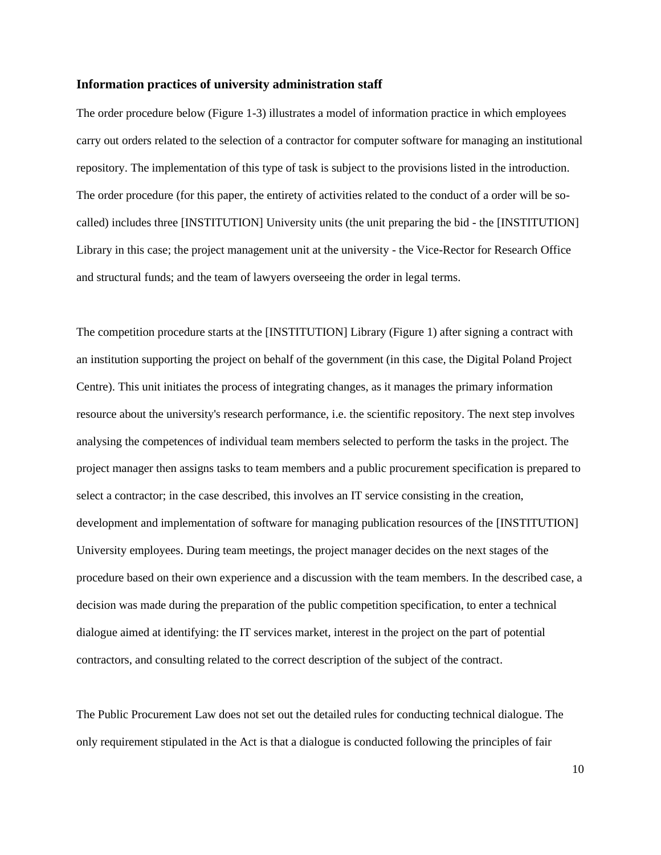#### **Information practices of university administration staff**

The order procedure below (Figure 1-3) illustrates a model of information practice in which employees carry out orders related to the selection of a contractor for computer software for managing an institutional repository. The implementation of this type of task is subject to the provisions listed in the introduction. The order procedure (for this paper, the entirety of activities related to the conduct of a order will be socalled) includes three [INSTITUTION] University units (the unit preparing the bid - the [INSTITUTION] Library in this case; the project management unit at the university - the Vice-Rector for Research Office and structural funds; and the team of lawyers overseeing the order in legal terms.

The competition procedure starts at the [INSTITUTION] Library (Figure 1) after signing a contract with an institution supporting the project on behalf of the government (in this case, the Digital Poland Project Centre). This unit initiates the process of integrating changes, as it manages the primary information resource about the university's research performance, i.e. the scientific repository. The next step involves analysing the competences of individual team members selected to perform the tasks in the project. The project manager then assigns tasks to team members and a public procurement specification is prepared to select a contractor; in the case described, this involves an IT service consisting in the creation, development and implementation of software for managing publication resources of the [INSTITUTION] University employees. During team meetings, the project manager decides on the next stages of the procedure based on their own experience and a discussion with the team members. In the described case, a decision was made during the preparation of the public competition specification, to enter a technical dialogue aimed at identifying: the IT services market, interest in the project on the part of potential contractors, and consulting related to the correct description of the subject of the contract.

The Public Procurement Law does not set out the detailed rules for conducting technical dialogue. The only requirement stipulated in the Act is that a dialogue is conducted following the principles of fair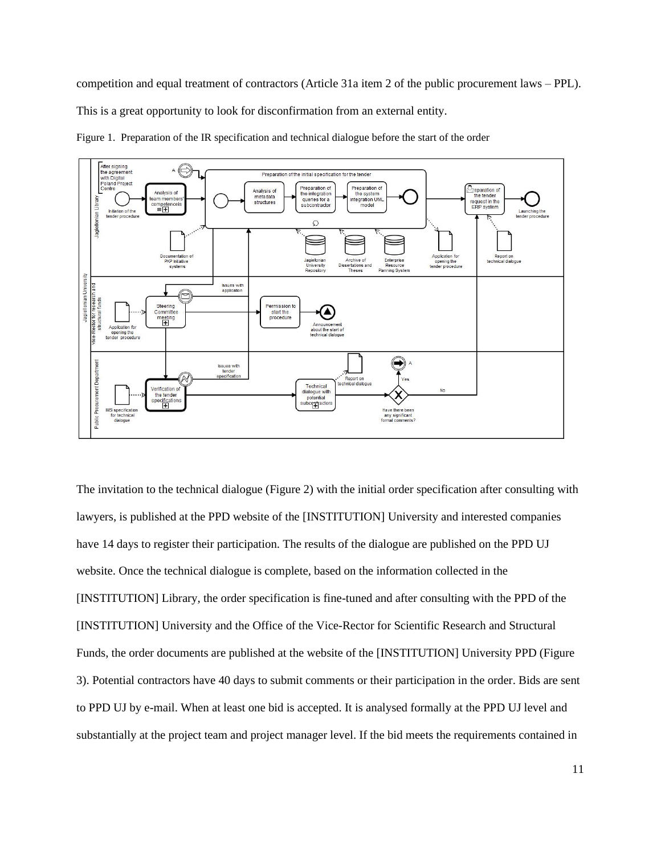competition and equal treatment of contractors (Article 31a item 2 of the public procurement laws – PPL). This is a great opportunity to look for disconfirmation from an external entity.



Figure 1. Preparation of the IR specification and technical dialogue before the start of the order

The invitation to the technical dialogue (Figure 2) with the initial order specification after consulting with lawyers, is published at the PPD website of the [INSTITUTION] University and interested companies have 14 days to register their participation. The results of the dialogue are published on the PPD UJ website. Once the technical dialogue is complete, based on the information collected in the [INSTITUTION] Library, the order specification is fine-tuned and after consulting with the PPD of the [INSTITUTION] University and the Office of the Vice-Rector for Scientific Research and Structural Funds, the order documents are published at the website of the [INSTITUTION] University PPD (Figure 3). Potential contractors have 40 days to submit comments or their participation in the order. Bids are sent to PPD UJ by e-mail. When at least one bid is accepted. It is analysed formally at the PPD UJ level and substantially at the project team and project manager level. If the bid meets the requirements contained in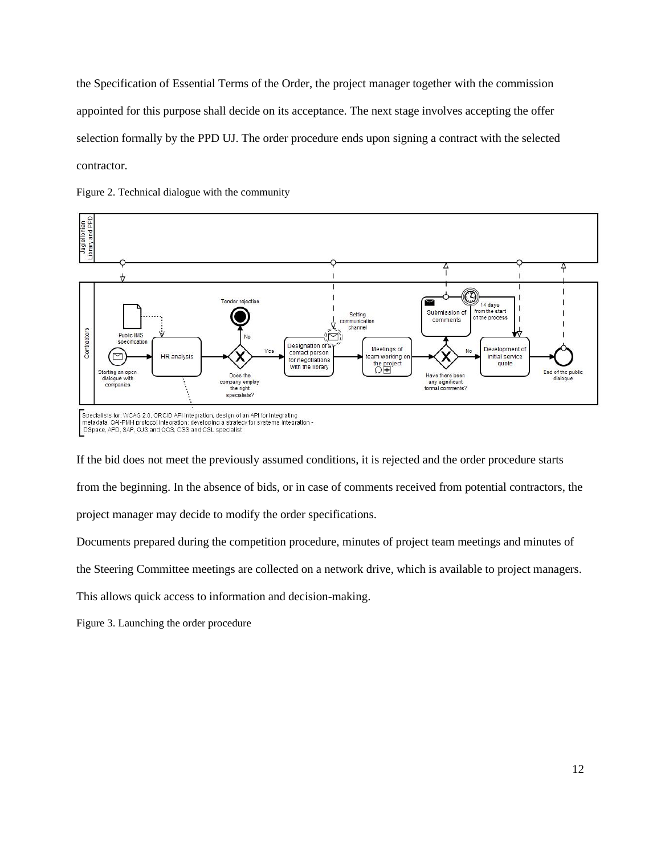the Specification of Essential Terms of the Order, the project manager together with the commission appointed for this purpose shall decide on its acceptance. The next stage involves accepting the offer selection formally by the PPD UJ. The order procedure ends upon signing a contract with the selected contractor.

Figure 2. Technical dialogue with the community



DSpace, APD, SAP, OJS and OCS, CSS and CSL specialist

If the bid does not meet the previously assumed conditions, it is rejected and the order procedure starts from the beginning. In the absence of bids, or in case of comments received from potential contractors, the project manager may decide to modify the order specifications.

Documents prepared during the competition procedure, minutes of project team meetings and minutes of

the Steering Committee meetings are collected on a network drive, which is available to project managers.

This allows quick access to information and decision-making.

Figure 3. Launching the order procedure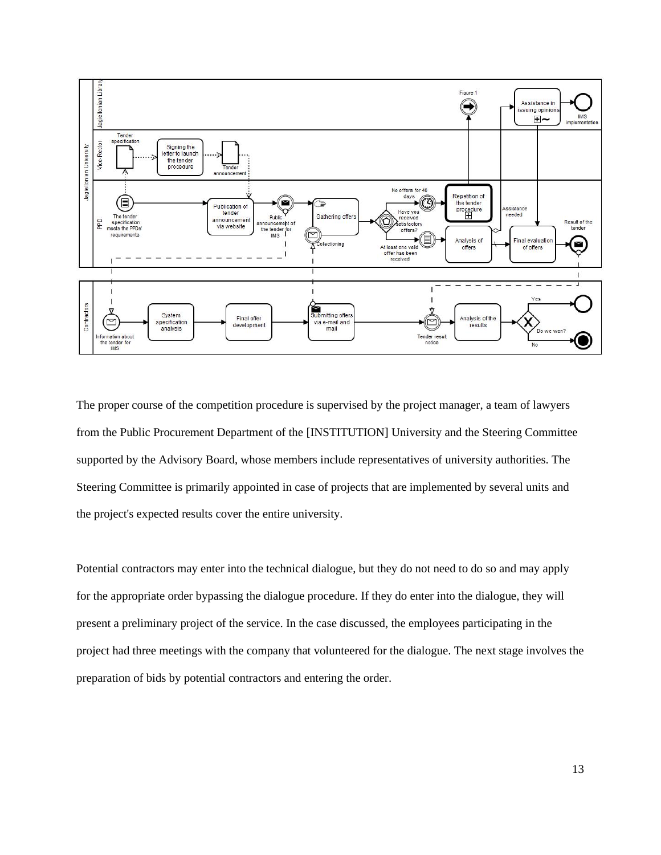

The proper course of the competition procedure is supervised by the project manager, a team of lawyers from the Public Procurement Department of the [INSTITUTION] University and the Steering Committee supported by the Advisory Board, whose members include representatives of university authorities. The Steering Committee is primarily appointed in case of projects that are implemented by several units and the project's expected results cover the entire university.

Potential contractors may enter into the technical dialogue, but they do not need to do so and may apply for the appropriate order bypassing the dialogue procedure. If they do enter into the dialogue, they will present a preliminary project of the service. In the case discussed, the employees participating in the project had three meetings with the company that volunteered for the dialogue. The next stage involves the preparation of bids by potential contractors and entering the order.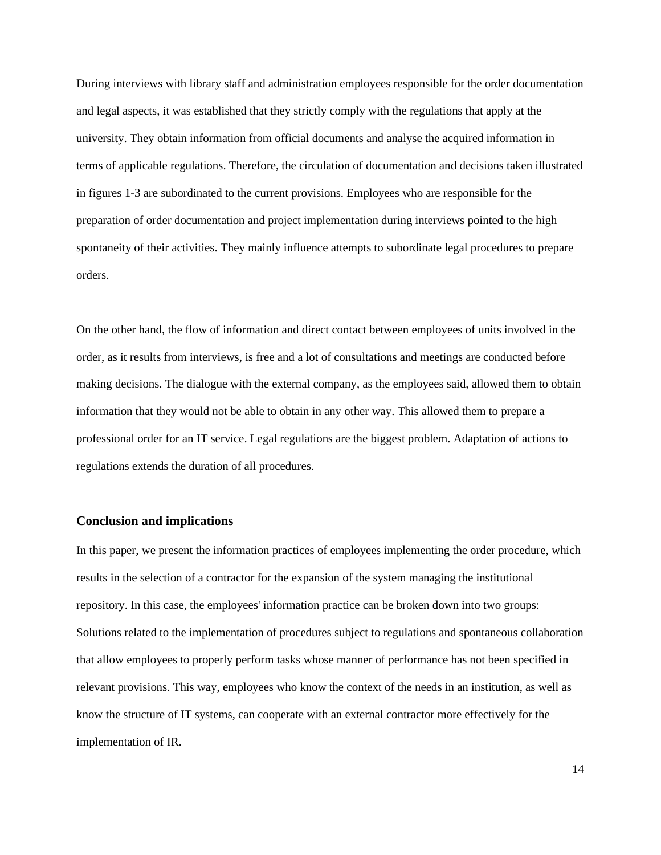During interviews with library staff and administration employees responsible for the order documentation and legal aspects, it was established that they strictly comply with the regulations that apply at the university. They obtain information from official documents and analyse the acquired information in terms of applicable regulations. Therefore, the circulation of documentation and decisions taken illustrated in figures 1-3 are subordinated to the current provisions. Employees who are responsible for the preparation of order documentation and project implementation during interviews pointed to the high spontaneity of their activities. They mainly influence attempts to subordinate legal procedures to prepare orders.

On the other hand, the flow of information and direct contact between employees of units involved in the order, as it results from interviews, is free and a lot of consultations and meetings are conducted before making decisions. The dialogue with the external company, as the employees said, allowed them to obtain information that they would not be able to obtain in any other way. This allowed them to prepare a professional order for an IT service. Legal regulations are the biggest problem. Adaptation of actions to regulations extends the duration of all procedures.

#### **Conclusion and implications**

In this paper, we present the information practices of employees implementing the order procedure, which results in the selection of a contractor for the expansion of the system managing the institutional repository. In this case, the employees' information practice can be broken down into two groups: Solutions related to the implementation of procedures subject to regulations and spontaneous collaboration that allow employees to properly perform tasks whose manner of performance has not been specified in relevant provisions. This way, employees who know the context of the needs in an institution, as well as know the structure of IT systems, can cooperate with an external contractor more effectively for the implementation of IR.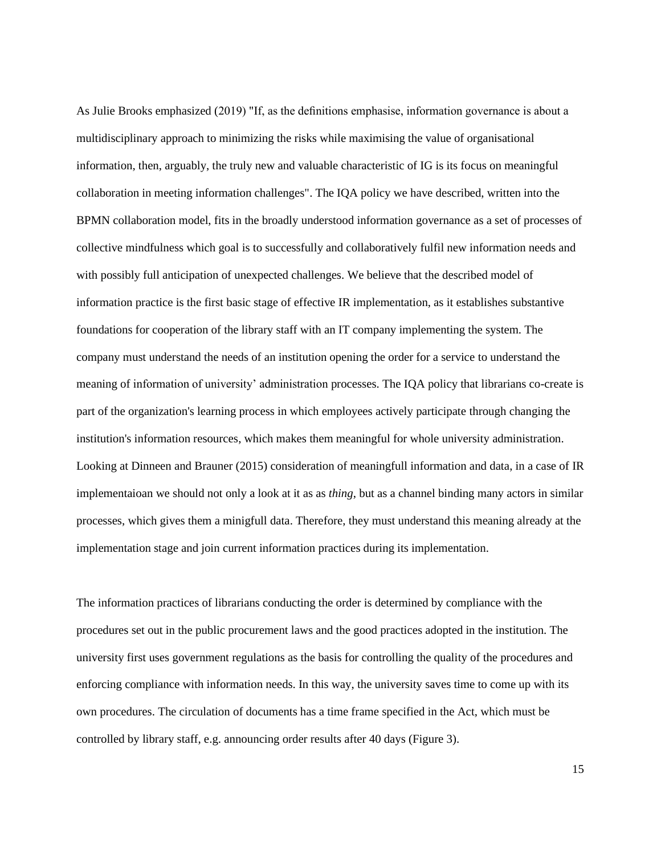As Julie Brooks emphasized (2019) "If, as the definitions emphasise, information governance is about a multidisciplinary approach to minimizing the risks while maximising the value of organisational information, then, arguably, the truly new and valuable characteristic of IG is its focus on meaningful collaboration in meeting information challenges". The IQA policy we have described, written into the BPMN collaboration model, fits in the broadly understood information governance as a set of processes of collective mindfulness which goal is to successfully and collaboratively fulfil new information needs and with possibly full anticipation of unexpected challenges. We believe that the described model of information practice is the first basic stage of effective IR implementation, as it establishes substantive foundations for cooperation of the library staff with an IT company implementing the system. The company must understand the needs of an institution opening the order for a service to understand the meaning of information of university' administration processes. The IQA policy that librarians co-create is part of the organization's learning process in which employees actively participate through changing the institution's information resources, which makes them meaningful for whole university administration. Looking at Dinneen and Brauner (2015) consideration of meaningfull information and data, in a case of IR implementaioan we should not only a look at it as as *thing*, but as a channel binding many actors in similar processes, which gives them a minigfull data. Therefore, they must understand this meaning already at the implementation stage and join current information practices during its implementation.

The information practices of librarians conducting the order is determined by compliance with the procedures set out in the public procurement laws and the good practices adopted in the institution. The university first uses government regulations as the basis for controlling the quality of the procedures and enforcing compliance with information needs. In this way, the university saves time to come up with its own procedures. The circulation of documents has a time frame specified in the Act, which must be controlled by library staff, e.g. announcing order results after 40 days (Figure 3).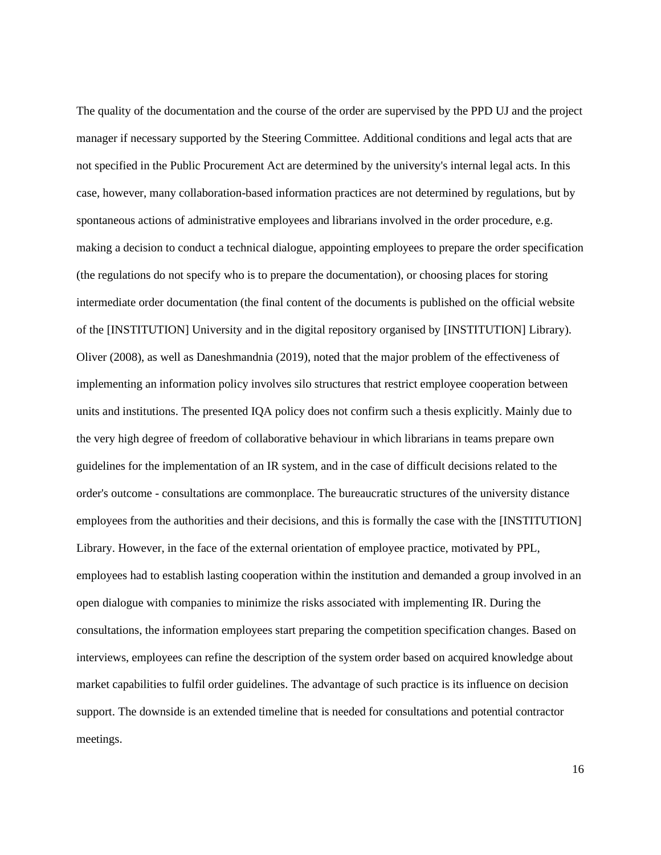The quality of the documentation and the course of the order are supervised by the PPD UJ and the project manager if necessary supported by the Steering Committee. Additional conditions and legal acts that are not specified in the Public Procurement Act are determined by the university's internal legal acts. In this case, however, many collaboration-based information practices are not determined by regulations, but by spontaneous actions of administrative employees and librarians involved in the order procedure, e.g. making a decision to conduct a technical dialogue, appointing employees to prepare the order specification (the regulations do not specify who is to prepare the documentation), or choosing places for storing intermediate order documentation (the final content of the documents is published on the official website of the [INSTITUTION] University and in the digital repository organised by [INSTITUTION] Library). Oliver (2008), as well as Daneshmandnia (2019), noted that the major problem of the effectiveness of implementing an information policy involves silo structures that restrict employee cooperation between units and institutions. The presented IQA policy does not confirm such a thesis explicitly. Mainly due to the very high degree of freedom of collaborative behaviour in which librarians in teams prepare own guidelines for the implementation of an IR system, and in the case of difficult decisions related to the order's outcome - consultations are commonplace. The bureaucratic structures of the university distance employees from the authorities and their decisions, and this is formally the case with the [INSTITUTION] Library. However, in the face of the external orientation of employee practice, motivated by PPL, employees had to establish lasting cooperation within the institution and demanded a group involved in an open dialogue with companies to minimize the risks associated with implementing IR. During the consultations, the information employees start preparing the competition specification changes. Based on interviews, employees can refine the description of the system order based on acquired knowledge about market capabilities to fulfil order guidelines. The advantage of such practice is its influence on decision support. The downside is an extended timeline that is needed for consultations and potential contractor meetings.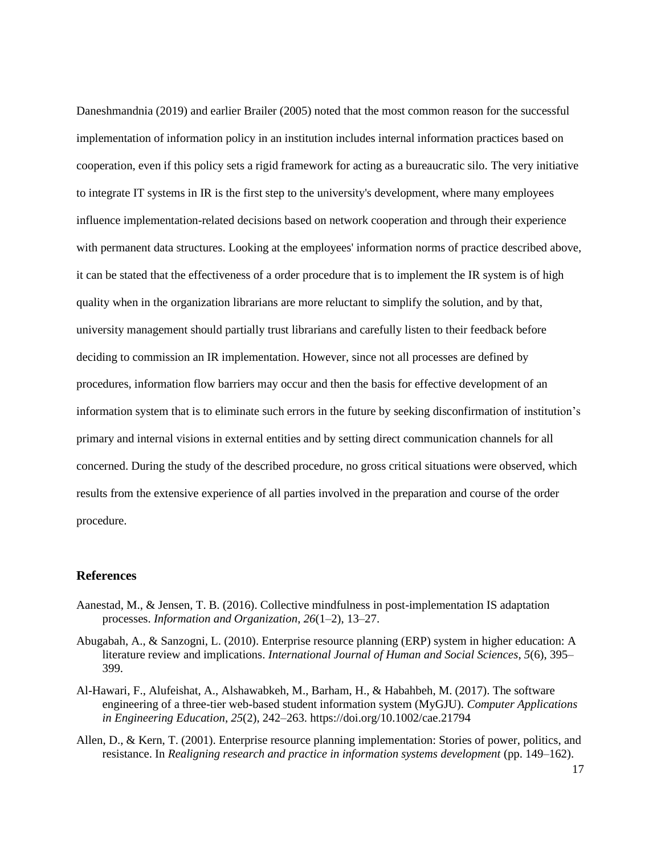Daneshmandnia (2019) and earlier Brailer (2005) noted that the most common reason for the successful implementation of information policy in an institution includes internal information practices based on cooperation, even if this policy sets a rigid framework for acting as a bureaucratic silo. The very initiative to integrate IT systems in IR is the first step to the university's development, where many employees influence implementation-related decisions based on network cooperation and through their experience with permanent data structures. Looking at the employees' information norms of practice described above, it can be stated that the effectiveness of a order procedure that is to implement the IR system is of high quality when in the organization librarians are more reluctant to simplify the solution, and by that, university management should partially trust librarians and carefully listen to their feedback before deciding to commission an IR implementation. However, since not all processes are defined by procedures, information flow barriers may occur and then the basis for effective development of an information system that is to eliminate such errors in the future by seeking disconfirmation of institution's primary and internal visions in external entities and by setting direct communication channels for all concerned. During the study of the described procedure, no gross critical situations were observed, which results from the extensive experience of all parties involved in the preparation and course of the order procedure.

#### **References**

- Aanestad, M., & Jensen, T. B. (2016). Collective mindfulness in post-implementation IS adaptation processes. *Information and Organization*, *26*(1–2), 13–27.
- Abugabah, A., & Sanzogni, L. (2010). Enterprise resource planning (ERP) system in higher education: A literature review and implications. *International Journal of Human and Social Sciences*, *5*(6), 395– 399.
- Al-Hawari, F., Alufeishat, A., Alshawabkeh, M., Barham, H., & Habahbeh, M. (2017). The software engineering of a three-tier web-based student information system (MyGJU). *Computer Applications in Engineering Education*, *25*(2), 242–263. https://doi.org/10.1002/cae.21794
- Allen, D., & Kern, T. (2001). Enterprise resource planning implementation: Stories of power, politics, and resistance. In *Realigning research and practice in information systems development* (pp. 149–162).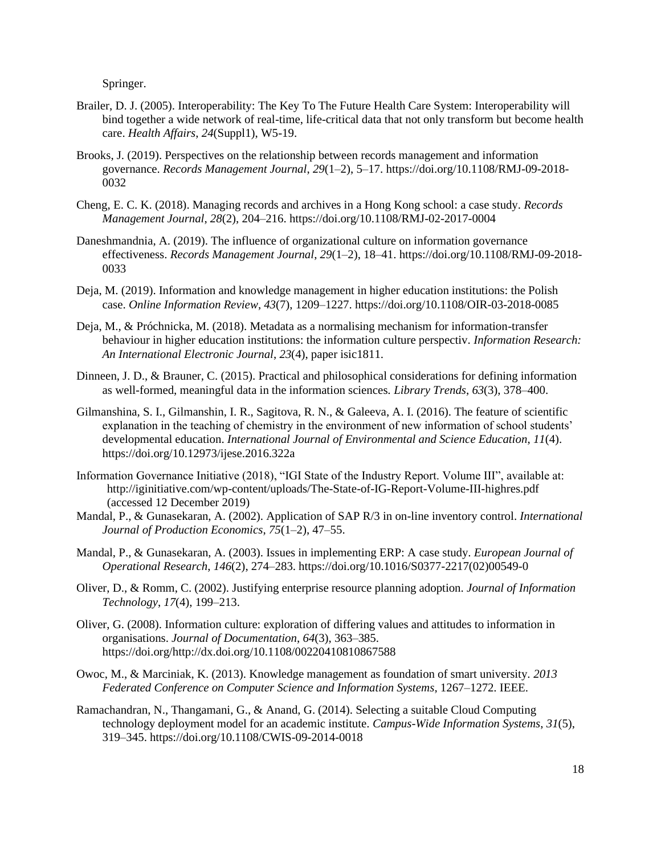Springer.

- Brailer, D. J. (2005). Interoperability: The Key To The Future Health Care System: Interoperability will bind together a wide network of real-time, life-critical data that not only transform but become health care. *Health Affairs*, *24*(Suppl1), W5-19.
- Brooks, J. (2019). Perspectives on the relationship between records management and information governance. *Records Management Journal*, *29*(1–2), 5–17. https://doi.org/10.1108/RMJ-09-2018- 0032
- Cheng, E. C. K. (2018). Managing records and archives in a Hong Kong school: a case study. *Records Management Journal*, *28*(2), 204–216. https://doi.org/10.1108/RMJ-02-2017-0004
- Daneshmandnia, A. (2019). The influence of organizational culture on information governance effectiveness. *Records Management Journal*, *29*(1–2), 18–41. https://doi.org/10.1108/RMJ-09-2018- 0033
- Deja, M. (2019). Information and knowledge management in higher education institutions: the Polish case. *Online Information Review*, *43*(7), 1209–1227. https://doi.org/10.1108/OIR-03-2018-0085
- Deja, M., & Próchnicka, M. (2018). Metadata as a normalising mechanism for information-transfer behaviour in higher education institutions: the information culture perspectiv. *Information Research: An International Electronic Journal*, *23*(4), paper isic1811.
- Dinneen, J. D., & Brauner, C. (2015). Practical and philosophical considerations for defining information as well-formed, meaningful data in the information sciences. *Library Trends*, *63*(3), 378–400.
- Gilmanshina, S. I., Gilmanshin, I. R., Sagitova, R. N., & Galeeva, A. I. (2016). The feature of scientific explanation in the teaching of chemistry in the environment of new information of school students' developmental education. *International Journal of Environmental and Science Education*, *11*(4). https://doi.org/10.12973/ijese.2016.322a
- Information Governance Initiative (2018), "IGI State of the Industry Report. Volume III", available at: http://iginitiative.com/wp-content/uploads/The-State-of-IG-Report-Volume-III-highres.pdf (accessed 12 December 2019)
- Mandal, P., & Gunasekaran, A. (2002). Application of SAP R/3 in on-line inventory control. *International Journal of Production Economics*, *75*(1–2), 47–55.
- Mandal, P., & Gunasekaran, A. (2003). Issues in implementing ERP: A case study. *European Journal of Operational Research*, *146*(2), 274–283. https://doi.org/10.1016/S0377-2217(02)00549-0
- Oliver, D., & Romm, C. (2002). Justifying enterprise resource planning adoption. *Journal of Information Technology*, *17*(4), 199–213.
- Oliver, G. (2008). Information culture: exploration of differing values and attitudes to information in organisations. *Journal of Documentation*, *64*(3), 363–385. https://doi.org/http://dx.doi.org/10.1108/00220410810867588
- Owoc, M., & Marciniak, K. (2013). Knowledge management as foundation of smart university. *2013 Federated Conference on Computer Science and Information Systems*, 1267–1272. IEEE.
- Ramachandran, N., Thangamani, G., & Anand, G. (2014). Selecting a suitable Cloud Computing technology deployment model for an academic institute. *Campus-Wide Information Systems*, *31*(5), 319–345. https://doi.org/10.1108/CWIS-09-2014-0018